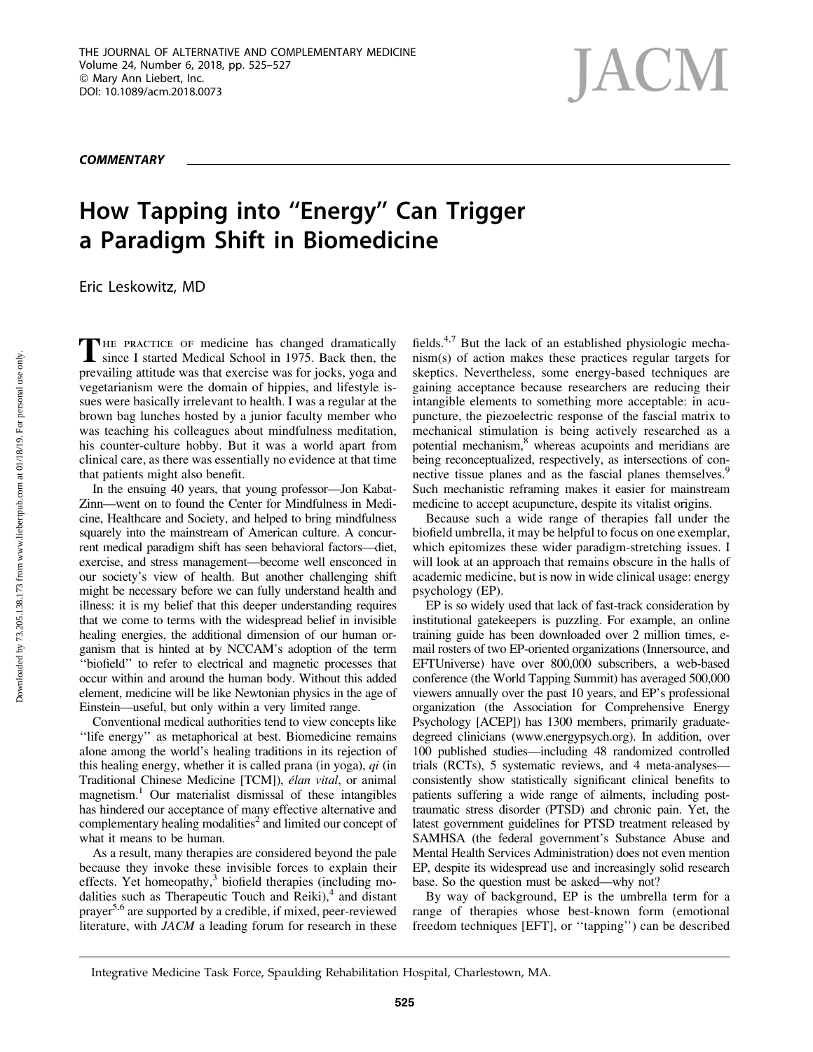**COMMENTARY** 

## How Tapping into ''Energy'' Can Trigger a Paradigm Shift in Biomedicine

Eric Leskowitz, MD

THE PRACTICE OF medicine has changed dramatically since I started Medical School in 1975. Back then, the prevailing attitude was that exercise was for jocks, yoga and vegetarianism were the domain of hippies, and lifestyle issues were basically irrelevant to health. I was a regular at the brown bag lunches hosted by a junior faculty member who was teaching his colleagues about mindfulness meditation, his counter-culture hobby. But it was a world apart from clinical care, as there was essentially no evidence at that time that patients might also benefit.

In the ensuing 40 years, that young professor—Jon Kabat-Zinn—went on to found the Center for Mindfulness in Medicine, Healthcare and Society, and helped to bring mindfulness squarely into the mainstream of American culture. A concurrent medical paradigm shift has seen behavioral factors—diet, exercise, and stress management—become well ensconced in our society's view of health. But another challenging shift might be necessary before we can fully understand health and illness: it is my belief that this deeper understanding requires that we come to terms with the widespread belief in invisible healing energies, the additional dimension of our human organism that is hinted at by NCCAM's adoption of the term ''biofield'' to refer to electrical and magnetic processes that occur within and around the human body. Without this added element, medicine will be like Newtonian physics in the age of Einstein—useful, but only within a very limited range.

Conventional medical authorities tend to view concepts like ''life energy'' as metaphorical at best. Biomedicine remains alone among the world's healing traditions in its rejection of this healing energy, whether it is called prana (in yoga), *qi* (in Traditional Chinese Medicine [TCM]), *élan vital*, or animal magnetism.1 Our materialist dismissal of these intangibles has hindered our acceptance of many effective alternative and complementary healing modalities<sup>2</sup> and limited our concept of what it means to be human.

As a result, many therapies are considered beyond the pale because they invoke these invisible forces to explain their effects. Yet homeopathy,<sup>3</sup> biofield therapies (including modalities such as Therapeutic Touch and  $\tilde{R}$ eiki),<sup>4</sup> and distant prayer5,6 are supported by a credible, if mixed, peer-reviewed literature, with *JACM* a leading forum for research in these fields.4,7 But the lack of an established physiologic mechanism(s) of action makes these practices regular targets for skeptics. Nevertheless, some energy-based techniques are gaining acceptance because researchers are reducing their intangible elements to something more acceptable: in acupuncture, the piezoelectric response of the fascial matrix to mechanical stimulation is being actively researched as a potential mechanism,<sup>8</sup> whereas acupoints and meridians are being reconceptualized, respectively, as intersections of connective tissue planes and as the fascial planes themselves.<sup>9</sup> Such mechanistic reframing makes it easier for mainstream medicine to accept acupuncture, despite its vitalist origins.

Because such a wide range of therapies fall under the biofield umbrella, it may be helpful to focus on one exemplar, which epitomizes these wider paradigm-stretching issues. I will look at an approach that remains obscure in the halls of academic medicine, but is now in wide clinical usage: energy psychology (EP).

EP is so widely used that lack of fast-track consideration by institutional gatekeepers is puzzling. For example, an online training guide has been downloaded over 2 million times, email rosters of two EP-oriented organizations (Innersource, and EFTUniverse) have over 800,000 subscribers, a web-based conference (the World Tapping Summit) has averaged 500,000 viewers annually over the past 10 years, and EP's professional organization (the Association for Comprehensive Energy Psychology [ACEP]) has 1300 members, primarily graduatedegreed clinicians (www.energypsych.org). In addition, over 100 published studies—including 48 randomized controlled trials (RCTs), 5 systematic reviews, and 4 meta-analyses consistently show statistically significant clinical benefits to patients suffering a wide range of ailments, including posttraumatic stress disorder (PTSD) and chronic pain. Yet, the latest government guidelines for PTSD treatment released by SAMHSA (the federal government's Substance Abuse and Mental Health Services Administration) does not even mention EP, despite its widespread use and increasingly solid research base. So the question must be asked—why not?

By way of background, EP is the umbrella term for a range of therapies whose best-known form (emotional freedom techniques [EFT], or ''tapping'') can be described

Integrative Medicine Task Force, Spaulding Rehabilitation Hospital, Charlestown, MA.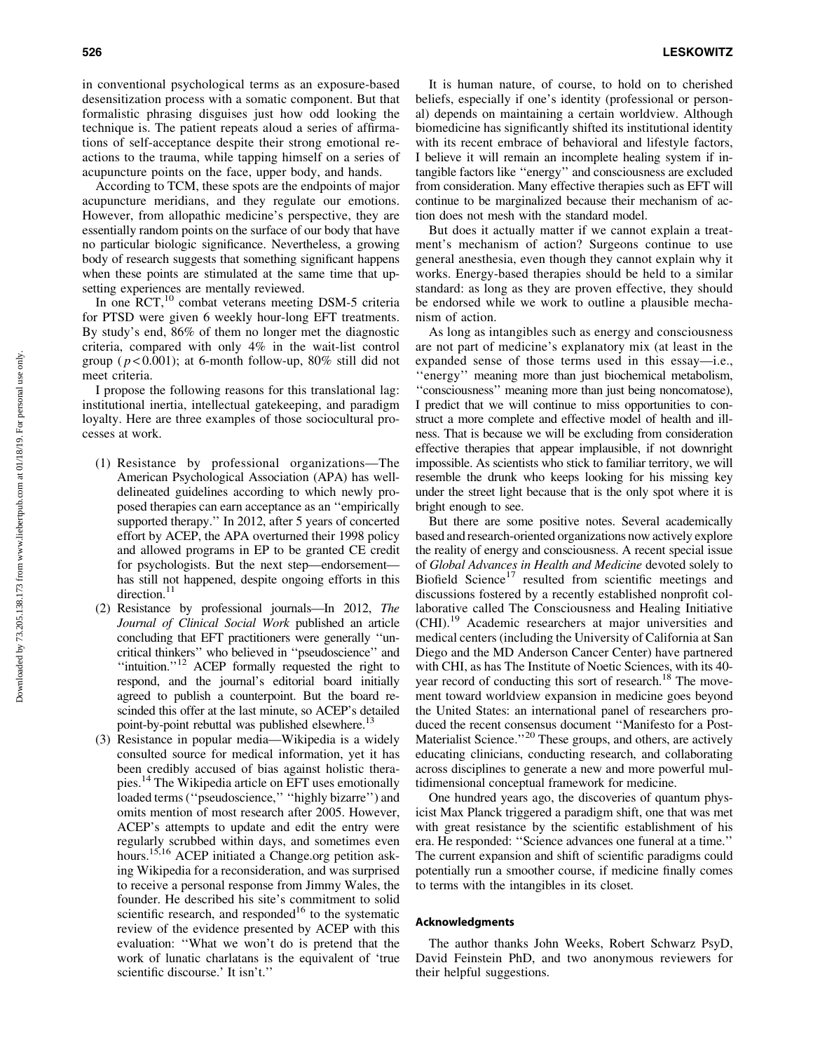in conventional psychological terms as an exposure-based desensitization process with a somatic component. But that formalistic phrasing disguises just how odd looking the technique is. The patient repeats aloud a series of affirmations of self-acceptance despite their strong emotional reactions to the trauma, while tapping himself on a series of acupuncture points on the face, upper body, and hands.

According to TCM, these spots are the endpoints of major acupuncture meridians, and they regulate our emotions. However, from allopathic medicine's perspective, they are essentially random points on the surface of our body that have no particular biologic significance. Nevertheless, a growing body of research suggests that something significant happens when these points are stimulated at the same time that upsetting experiences are mentally reviewed.

In one  $RCT$ ,<sup>10</sup> combat veterans meeting DSM-5 criteria for PTSD were given 6 weekly hour-long EFT treatments. By study's end, 86% of them no longer met the diagnostic criteria, compared with only 4% in the wait-list control group ( $p < 0.001$ ); at 6-month follow-up, 80% still did not meet criteria.

I propose the following reasons for this translational lag: institutional inertia, intellectual gatekeeping, and paradigm loyalty. Here are three examples of those sociocultural processes at work.

- (1) Resistance by professional organizations—The American Psychological Association (APA) has welldelineated guidelines according to which newly proposed therapies can earn acceptance as an ''empirically supported therapy.'' In 2012, after 5 years of concerted effort by ACEP, the APA overturned their 1998 policy and allowed programs in EP to be granted CE credit for psychologists. But the next step—endorsement has still not happened, despite ongoing efforts in this direction.<sup>11</sup>
- (2) Resistance by professional journals—In 2012, *The Journal of Clinical Social Work* published an article concluding that EFT practitioners were generally ''uncritical thinkers'' who believed in ''pseudoscience'' and "intuition."<sup>12</sup> ACEP formally requested the right to respond, and the journal's editorial board initially agreed to publish a counterpoint. But the board rescinded this offer at the last minute, so ACEP's detailed point-by-point rebuttal was published elsewhere.<sup>13</sup>
- (3) Resistance in popular media—Wikipedia is a widely consulted source for medical information, yet it has been credibly accused of bias against holistic therapies.14 The Wikipedia article on EFT uses emotionally loaded terms (''pseudoscience,'' ''highly bizarre'') and omits mention of most research after 2005. However, ACEP's attempts to update and edit the entry were regularly scrubbed within days, and sometimes even hours.15,16 ACEP initiated a Change.org petition asking Wikipedia for a reconsideration, and was surprised to receive a personal response from Jimmy Wales, the founder. He described his site's commitment to solid scientific research, and responded<sup>16</sup> to the systematic review of the evidence presented by ACEP with this evaluation: ''What we won't do is pretend that the work of lunatic charlatans is the equivalent of 'true scientific discourse.' It isn't.''

It is human nature, of course, to hold on to cherished beliefs, especially if one's identity (professional or personal) depends on maintaining a certain worldview. Although biomedicine has significantly shifted its institutional identity with its recent embrace of behavioral and lifestyle factors, I believe it will remain an incomplete healing system if intangible factors like ''energy'' and consciousness are excluded from consideration. Many effective therapies such as EFT will continue to be marginalized because their mechanism of action does not mesh with the standard model.

But does it actually matter if we cannot explain a treatment's mechanism of action? Surgeons continue to use general anesthesia, even though they cannot explain why it works. Energy-based therapies should be held to a similar standard: as long as they are proven effective, they should be endorsed while we work to outline a plausible mechanism of action.

As long as intangibles such as energy and consciousness are not part of medicine's explanatory mix (at least in the expanded sense of those terms used in this essay—i.e., ''energy'' meaning more than just biochemical metabolism, ''consciousness'' meaning more than just being noncomatose), I predict that we will continue to miss opportunities to construct a more complete and effective model of health and illness. That is because we will be excluding from consideration effective therapies that appear implausible, if not downright impossible. As scientists who stick to familiar territory, we will resemble the drunk who keeps looking for his missing key under the street light because that is the only spot where it is bright enough to see.

But there are some positive notes. Several academically based and research-oriented organizations now actively explore the reality of energy and consciousness. A recent special issue of *Global Advances in Health and Medicine* devoted solely to Biofield Science<sup>17</sup> resulted from scientific meetings and discussions fostered by a recently established nonprofit collaborative called The Consciousness and Healing Initiative (CHI).<sup>19</sup> Academic researchers at major universities and medical centers (including the University of California at San Diego and the MD Anderson Cancer Center) have partnered with CHI, as has The Institute of Noetic Sciences, with its 40 year record of conducting this sort of research.<sup>18</sup> The movement toward worldview expansion in medicine goes beyond the United States: an international panel of researchers produced the recent consensus document ''Manifesto for a Post-Materialist Science."<sup>20</sup> These groups, and others, are actively educating clinicians, conducting research, and collaborating across disciplines to generate a new and more powerful multidimensional conceptual framework for medicine.

One hundred years ago, the discoveries of quantum physicist Max Planck triggered a paradigm shift, one that was met with great resistance by the scientific establishment of his era. He responded: ''Science advances one funeral at a time.'' The current expansion and shift of scientific paradigms could potentially run a smoother course, if medicine finally comes to terms with the intangibles in its closet.

## Acknowledgments

The author thanks John Weeks, Robert Schwarz PsyD, David Feinstein PhD, and two anonymous reviewers for their helpful suggestions.